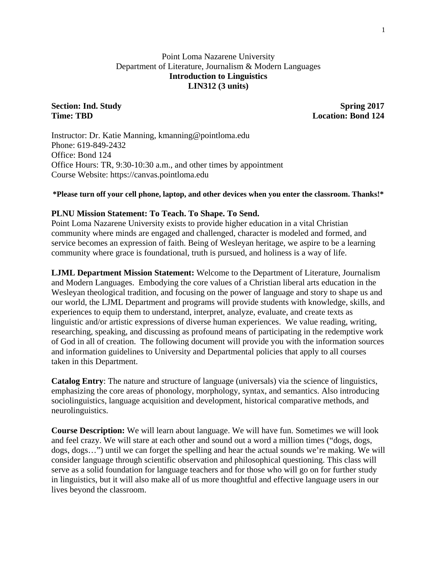### Point Loma Nazarene University Department of Literature, Journalism & Modern Languages **Introduction to Linguistics LIN312 (3 units)**

**Section: Ind. Study Spring 2017 Time: TBD Location: Bond 124**

Instructor: Dr. Katie Manning, kmanning@pointloma.edu Phone: 619-849-2432 Office: Bond 124 Office Hours: TR, 9:30-10:30 a.m., and other times by appointment Course Website: https://canvas.pointloma.edu

#### **\*Please turn off your cell phone, laptop, and other devices when you enter the classroom. Thanks!\***

#### **PLNU Mission Statement: To Teach. To Shape. To Send.**

Point Loma Nazarene University exists to provide higher education in a vital Christian community where minds are engaged and challenged, character is modeled and formed, and service becomes an expression of faith. Being of Wesleyan heritage, we aspire to be a learning community where grace is foundational, truth is pursued, and holiness is a way of life.

**LJML Department Mission Statement:** Welcome to the Department of Literature, Journalism and Modern Languages. Embodying the core values of a Christian liberal arts education in the Wesleyan theological tradition, and focusing on the power of language and story to shape us and our world, the LJML Department and programs will provide students with knowledge, skills, and experiences to equip them to understand, interpret, analyze, evaluate, and create texts as linguistic and/or artistic expressions of diverse human experiences. We value reading, writing, researching, speaking, and discussing as profound means of participating in the redemptive work of God in all of creation. The following document will provide you with the information sources and information guidelines to University and Departmental policies that apply to all courses taken in this Department.

**Catalog Entry**: The nature and structure of language (universals) via the science of linguistics, emphasizing the core areas of phonology, morphology, syntax, and semantics. Also introducing sociolinguistics, language acquisition and development, historical comparative methods, and neurolinguistics.

**Course Description:** We will learn about language. We will have fun. Sometimes we will look and feel crazy. We will stare at each other and sound out a word a million times ("dogs, dogs, dogs, dogs…") until we can forget the spelling and hear the actual sounds we're making. We will consider language through scientific observation and philosophical questioning. This class will serve as a solid foundation for language teachers and for those who will go on for further study in linguistics, but it will also make all of us more thoughtful and effective language users in our lives beyond the classroom.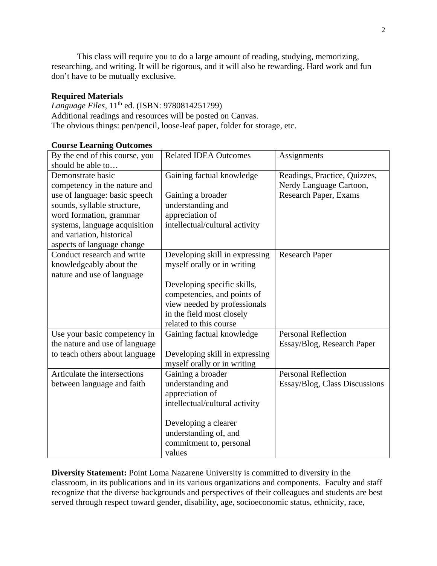This class will require you to do a large amount of reading, studying, memorizing, researching, and writing. It will be rigorous, and it will also be rewarding. Hard work and fun don't have to be mutually exclusive.

### **Required Materials**

*Language Files*, 11th ed. (ISBN: 9780814251799) Additional readings and resources will be posted on Canvas. The obvious things: pen/pencil, loose-leaf paper, folder for storage, etc.

| By the end of this course, you | <b>Related IDEA Outcomes</b>   | Assignments                   |
|--------------------------------|--------------------------------|-------------------------------|
| should be able to              |                                |                               |
| Demonstrate basic              | Gaining factual knowledge      | Readings, Practice, Quizzes,  |
| competency in the nature and   |                                | Nerdy Language Cartoon,       |
| use of language: basic speech  | Gaining a broader              | Research Paper, Exams         |
| sounds, syllable structure,    | understanding and              |                               |
| word formation, grammar        | appreciation of                |                               |
| systems, language acquisition  | intellectual/cultural activity |                               |
| and variation, historical      |                                |                               |
| aspects of language change     |                                |                               |
| Conduct research and write     | Developing skill in expressing | <b>Research Paper</b>         |
| knowledgeably about the        | myself orally or in writing    |                               |
| nature and use of language     |                                |                               |
|                                | Developing specific skills,    |                               |
|                                | competencies, and points of    |                               |
|                                | view needed by professionals   |                               |
|                                | in the field most closely      |                               |
|                                | related to this course         |                               |
| Use your basic competency in   | Gaining factual knowledge      | <b>Personal Reflection</b>    |
| the nature and use of language |                                | Essay/Blog, Research Paper    |
| to teach others about language | Developing skill in expressing |                               |
|                                | myself orally or in writing    |                               |
| Articulate the intersections   | Gaining a broader              | <b>Personal Reflection</b>    |
| between language and faith     | understanding and              | Essay/Blog, Class Discussions |
|                                | appreciation of                |                               |
|                                | intellectual/cultural activity |                               |
|                                |                                |                               |
|                                | Developing a clearer           |                               |
|                                | understanding of, and          |                               |
|                                | commitment to, personal        |                               |
|                                | values                         |                               |

#### **Course Learning Outcomes**

**Diversity Statement:** Point Loma Nazarene University is committed to diversity in the classroom, in its publications and in its various organizations and components. Faculty and staff recognize that the diverse backgrounds and perspectives of their colleagues and students are best served through respect toward gender, disability, age, socioeconomic status, ethnicity, race,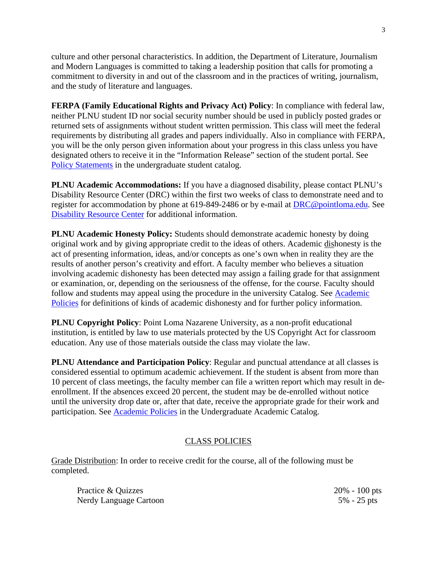culture and other personal characteristics. In addition, the Department of Literature, Journalism and Modern Languages is committed to taking a leadership position that calls for promoting a commitment to diversity in and out of the classroom and in the practices of writing, journalism, and the study of literature and languages.

**FERPA (Family Educational Rights and Privacy Act) Policy**: In compliance with federal law, neither PLNU student ID nor social security number should be used in publicly posted grades or returned sets of assignments without student written permission. This class will meet the federal requirements by distributing all grades and papers individually. Also in compliance with FERPA, you will be the only person given information about your progress in this class unless you have designated others to receive it in the "Information Release" section of the student portal. See [Policy Statements](http://catalog.pointloma.edu/content.php?catoid=8&navoid=864) in the undergraduate student catalog.

**PLNU Academic Accommodations:** If you have a diagnosed disability, please contact PLNU's Disability Resource Center (DRC) within the first two weeks of class to demonstrate need and to register for accommodation by phone at 619-849-2486 or by e-mail at [DRC@pointloma.edu.](mailto:DRC@pointloma.edu) See [Disability Resource Center](http://www.pointloma.edu/experience/offices/administrative-offices/academic-advising-office/disability-resource-center) for additional information.

**PLNU Academic Honesty Policy:** Students should demonstrate academic honesty by doing original work and by giving appropriate credit to the ideas of others. Academic dishonesty is the act of presenting information, ideas, and/or concepts as one's own when in reality they are the results of another person's creativity and effort. A faculty member who believes a situation involving academic dishonesty has been detected may assign a failing grade for that assignment or examination, or, depending on the seriousness of the offense, for the course. Faculty should follow and students may appeal using the procedure in the university Catalog. See [Academic](http://catalog.pointloma.edu/content.php?catoid=18&navoid=1278)  [Policies](http://catalog.pointloma.edu/content.php?catoid=18&navoid=1278) for definitions of kinds of academic dishonesty and for further policy information.

**PLNU Copyright Policy**: Point Loma Nazarene University, as a non-profit educational institution, is entitled by law to use materials protected by the US Copyright Act for classroom education. Any use of those materials outside the class may violate the law.

**PLNU Attendance and Participation Policy**: Regular and punctual attendance at all classes is considered essential to optimum academic achievement. If the student is absent from more than 10 percent of class meetings, the faculty member can file a written report which may result in deenrollment. If the absences exceed 20 percent, the student may be de-enrolled without notice until the university drop date or, after that date, receive the appropriate grade for their work and participation. See [Academic Policies](http://catalog.pointloma.edu/content.php?catoid=18&navoid=1278) in the Undergraduate Academic Catalog.

### CLASS POLICIES

Grade Distribution: In order to receive credit for the course, all of the following must be completed.

| Practice & Quizzes     | $20\% - 100$ pts |
|------------------------|------------------|
| Nerdy Language Cartoon | $5\% - 25$ pts   |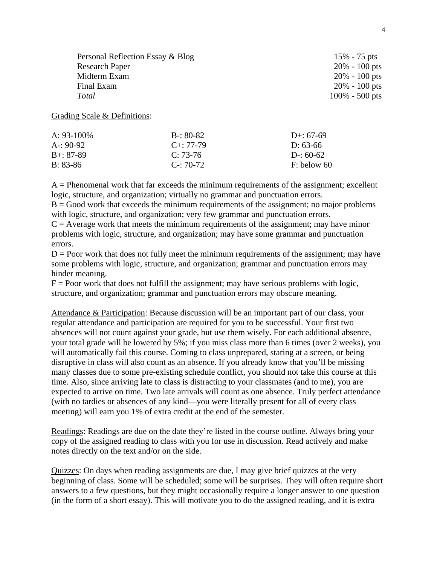| Personal Reflection Essay & Blog | $15\% - 75$ pts   |
|----------------------------------|-------------------|
| <b>Research Paper</b>            | $20\% - 100$ pts  |
| Midterm Exam                     | $20\% - 100$ pts  |
| Final Exam                       | $20\% - 100$ pts  |
| Total                            | $100\% - 500$ pts |

#### Grading Scale & Definitions:

| A: $93-100\%$ | $B - 80 - 82$   | D+: $67-69$   |
|---------------|-----------------|---------------|
| $A - 90-92$   | $C_{+}$ : 77-79 | D: 63-66      |
| $B + 87 - 89$ | $C: 73-76$      | D-: $60-62$   |
| $B: 83-86$    | $C - 70-72$     | $F:$ below 60 |

 $A =$  Phenomenal work that far exceeds the minimum requirements of the assignment; excellent logic, structure, and organization; virtually no grammar and punctuation errors.

 $B = Good$  work that exceeds the minimum requirements of the assignment; no major problems with logic, structure, and organization; very few grammar and punctuation errors.

 $C =$  Average work that meets the minimum requirements of the assignment; may have minor problems with logic, structure, and organization; may have some grammar and punctuation errors.

 $D =$  Poor work that does not fully meet the minimum requirements of the assignment; may have some problems with logic, structure, and organization; grammar and punctuation errors may hinder meaning.

 $F =$  Poor work that does not fulfill the assignment; may have serious problems with logic, structure, and organization; grammar and punctuation errors may obscure meaning.

Attendance & Participation: Because discussion will be an important part of our class, your regular attendance and participation are required for you to be successful. Your first two absences will not count against your grade, but use them wisely. For each additional absence, your total grade will be lowered by 5%; if you miss class more than 6 times (over 2 weeks), you will automatically fail this course. Coming to class unprepared, staring at a screen, or being disruptive in class will also count as an absence. If you already know that you'll be missing many classes due to some pre-existing schedule conflict, you should not take this course at this time. Also, since arriving late to class is distracting to your classmates (and to me), you are expected to arrive on time. Two late arrivals will count as one absence. Truly perfect attendance (with no tardies or absences of any kind—you were literally present for all of every class meeting) will earn you 1% of extra credit at the end of the semester.

Readings: Readings are due on the date they're listed in the course outline. Always bring your copy of the assigned reading to class with you for use in discussion. Read actively and make notes directly on the text and/or on the side.

Quizzes: On days when reading assignments are due, I may give brief quizzes at the very beginning of class. Some will be scheduled; some will be surprises. They will often require short answers to a few questions, but they might occasionally require a longer answer to one question (in the form of a short essay). This will motivate you to do the assigned reading, and it is extra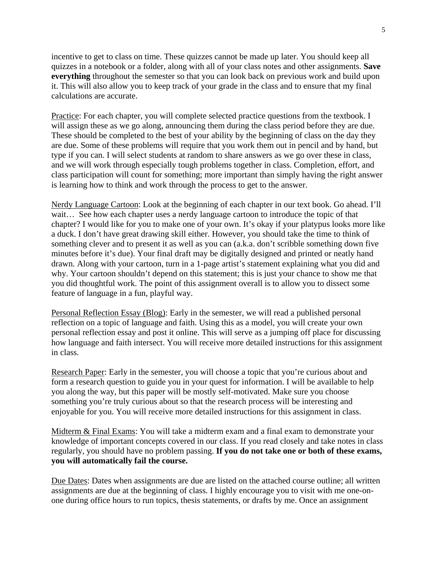incentive to get to class on time. These quizzes cannot be made up later. You should keep all quizzes in a notebook or a folder, along with all of your class notes and other assignments. **Save everything** throughout the semester so that you can look back on previous work and build upon it. This will also allow you to keep track of your grade in the class and to ensure that my final calculations are accurate.

Practice: For each chapter, you will complete selected practice questions from the textbook. I will assign these as we go along, announcing them during the class period before they are due. These should be completed to the best of your ability by the beginning of class on the day they are due. Some of these problems will require that you work them out in pencil and by hand, but type if you can. I will select students at random to share answers as we go over these in class, and we will work through especially tough problems together in class. Completion, effort, and class participation will count for something; more important than simply having the right answer is learning how to think and work through the process to get to the answer.

Nerdy Language Cartoon: Look at the beginning of each chapter in our text book. Go ahead. I'll wait... See how each chapter uses a nerdy language cartoon to introduce the topic of that chapter? I would like for you to make one of your own. It's okay if your platypus looks more like a duck. I don't have great drawing skill either. However, you should take the time to think of something clever and to present it as well as you can (a.k.a. don't scribble something down five minutes before it's due). Your final draft may be digitally designed and printed or neatly hand drawn. Along with your cartoon, turn in a 1-page artist's statement explaining what you did and why. Your cartoon shouldn't depend on this statement; this is just your chance to show me that you did thoughtful work. The point of this assignment overall is to allow you to dissect some feature of language in a fun, playful way.

Personal Reflection Essay (Blog): Early in the semester, we will read a published personal reflection on a topic of language and faith. Using this as a model, you will create your own personal reflection essay and post it online. This will serve as a jumping off place for discussing how language and faith intersect. You will receive more detailed instructions for this assignment in class.

Research Paper: Early in the semester, you will choose a topic that you're curious about and form a research question to guide you in your quest for information. I will be available to help you along the way, but this paper will be mostly self-motivated. Make sure you choose something you're truly curious about so that the research process will be interesting and enjoyable for you. You will receive more detailed instructions for this assignment in class.

Midterm & Final Exams: You will take a midterm exam and a final exam to demonstrate your knowledge of important concepts covered in our class. If you read closely and take notes in class regularly, you should have no problem passing. **If you do not take one or both of these exams, you will automatically fail the course.**

Due Dates: Dates when assignments are due are listed on the attached course outline; all written assignments are due at the beginning of class. I highly encourage you to visit with me one-onone during office hours to run topics, thesis statements, or drafts by me. Once an assignment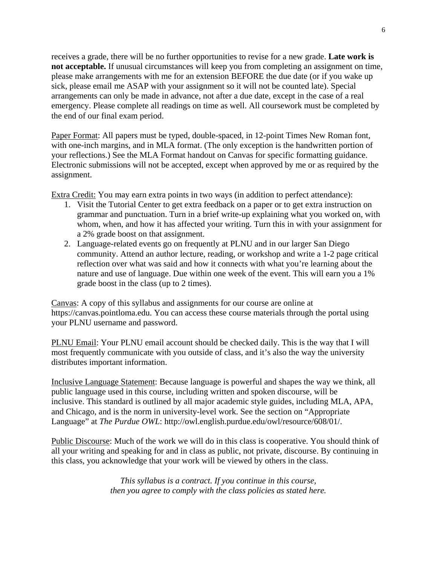receives a grade, there will be no further opportunities to revise for a new grade. **Late work is not acceptable.** If unusual circumstances will keep you from completing an assignment on time, please make arrangements with me for an extension BEFORE the due date (or if you wake up sick, please email me ASAP with your assignment so it will not be counted late). Special arrangements can only be made in advance, not after a due date, except in the case of a real emergency. Please complete all readings on time as well. All coursework must be completed by the end of our final exam period.

Paper Format: All papers must be typed, double-spaced, in 12-point Times New Roman font, with one-inch margins, and in MLA format. (The only exception is the handwritten portion of your reflections.) See the MLA Format handout on Canvas for specific formatting guidance. Electronic submissions will not be accepted, except when approved by me or as required by the assignment.

Extra Credit: You may earn extra points in two ways (in addition to perfect attendance):

- 1. Visit the Tutorial Center to get extra feedback on a paper or to get extra instruction on grammar and punctuation. Turn in a brief write-up explaining what you worked on, with whom, when, and how it has affected your writing. Turn this in with your assignment for a 2% grade boost on that assignment.
- 2. Language-related events go on frequently at PLNU and in our larger San Diego community. Attend an author lecture, reading, or workshop and write a 1-2 page critical reflection over what was said and how it connects with what you're learning about the nature and use of language. Due within one week of the event. This will earn you a 1% grade boost in the class (up to 2 times).

Canvas: A copy of this syllabus and assignments for our course are online at https://canvas.pointloma.edu. You can access these course materials through the portal using your PLNU username and password.

PLNU Email: Your PLNU email account should be checked daily. This is the way that I will most frequently communicate with you outside of class, and it's also the way the university distributes important information.

Inclusive Language Statement: Because language is powerful and shapes the way we think, all public language used in this course, including written and spoken discourse, will be inclusive. This standard is outlined by all major academic style guides, including MLA, APA, and Chicago, and is the norm in university-level work. See the section on "Appropriate Language" at *The Purdue OWL*: http://owl.english.purdue.edu/owl/resource/608/01/.

Public Discourse: Much of the work we will do in this class is cooperative. You should think of all your writing and speaking for and in class as public, not private, discourse. By continuing in this class, you acknowledge that your work will be viewed by others in the class.

> *This syllabus is a contract. If you continue in this course, then you agree to comply with the class policies as stated here.*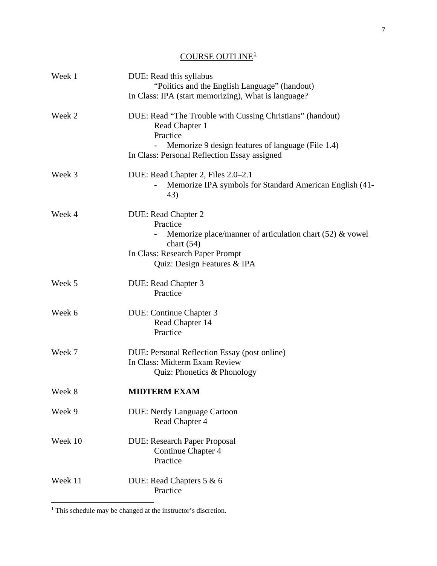# $\underline{\text{COURSE OUTLINE}^1}$  $\underline{\text{COURSE OUTLINE}^1}$  $\underline{\text{COURSE OUTLINE}^1}$

| Week 1  | DUE: Read this syllabus<br>"Politics and the English Language" (handout)                                                                                                        |
|---------|---------------------------------------------------------------------------------------------------------------------------------------------------------------------------------|
|         | In Class: IPA (start memorizing), What is language?                                                                                                                             |
| Week 2  | DUE: Read "The Trouble with Cussing Christians" (handout)<br>Read Chapter 1<br>Practice                                                                                         |
|         | Memorize 9 design features of language (File 1.4)<br>In Class: Personal Reflection Essay assigned                                                                               |
| Week 3  | DUE: Read Chapter 2, Files 2.0–2.1<br>Memorize IPA symbols for Standard American English (41-<br>43)                                                                            |
| Week 4  | DUE: Read Chapter 2<br>Practice<br>Memorize place/manner of articulation chart $(52)$ & vowel<br>chart $(54)$<br>In Class: Research Paper Prompt<br>Quiz: Design Features & IPA |
| Week 5  | DUE: Read Chapter 3<br>Practice                                                                                                                                                 |
| Week 6  | DUE: Continue Chapter 3<br>Read Chapter 14<br>Practice                                                                                                                          |
| Week 7  | DUE: Personal Reflection Essay (post online)<br>In Class: Midterm Exam Review<br>Quiz: Phonetics & Phonology                                                                    |
| Week 8  | <b>MIDTERM EXAM</b>                                                                                                                                                             |
| Week 9  | <b>DUE: Nerdy Language Cartoon</b><br>Read Chapter 4                                                                                                                            |
| Week 10 | <b>DUE: Research Paper Proposal</b><br>Continue Chapter 4<br>Practice                                                                                                           |
| Week 11 | DUE: Read Chapters 5 & 6<br>Practice                                                                                                                                            |
|         |                                                                                                                                                                                 |

<span id="page-6-0"></span> $<sup>1</sup>$  This schedule may be changed at the instructor's discretion.</sup>